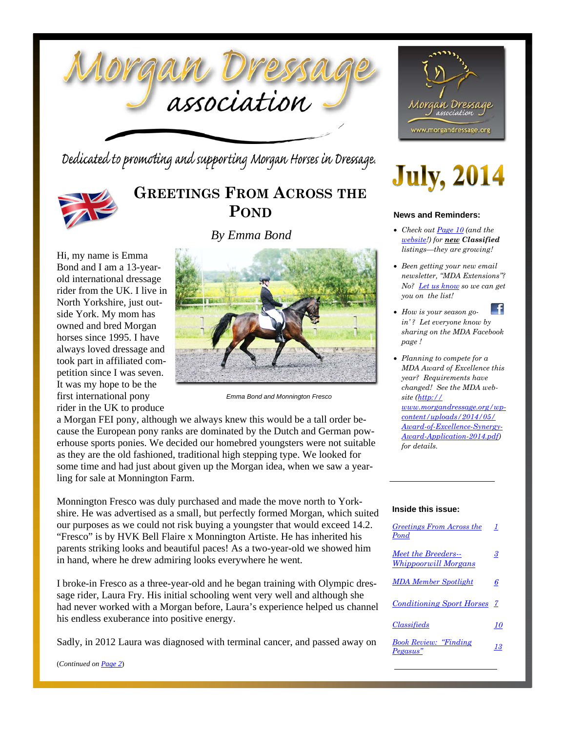

Dedicated to promoting and supporting Morgan Horses in Dressage.



### **GREETINGS FROM ACROSS THE POND**

*By Emma Bond*

Hi, my name is Emma Bond and I am a 13-yearold international dressage rider from the UK. I live in North Yorkshire, just outside York. My mom has owned and bred Morgan horses since 1995. I have always loved dressage and took part in affiliated competition since I was seven. It was my hope to be the first international pony rider in the UK to produce



*Emma Bond and Monnington Fresco* 

a Morgan FEI pony, although we always knew this would be a tall order because the European pony ranks are dominated by the Dutch and German powerhouse sports ponies. We decided our homebred youngsters were not suitable as they are the old fashioned, traditional high stepping type. We looked for some time and had just about given up the Morgan idea, when we saw a yearling for sale at Monnington Farm.

Monnington Fresco was duly purchased and made the move north to Yorkshire. He was advertised as a small, but perfectly formed Morgan, which suited our purposes as we could not risk buying a youngster that would exceed 14.2. "Fresco" is by HVK Bell Flaire x Monnington Artiste. He has inherited his parents striking looks and beautiful paces! As a two-year-old we showed him in hand, where he drew admiring looks everywhere he went.

I broke-in Fresco as a three-year-old and he began training with Olympic dressage rider, Laura Fry. His initial schooling went very well and although she had never worked with a Morgan before, Laura's experience helped us channel his endless exuberance into positive energy.

Sadly, in 2012 Laura was diagnosed with terminal cancer, and passed away on

(*Continued on Page 2*)



# **July, 2014**

#### **News and Reminders:**

- *Check out Page 10 (and the website!) for new Classified listings—they are growing!*
- *Been getting your new email newsletter, "MDA Extensions"? No? Let us know so we can get you on the list!*
- -fl *How is your season goin' ? Let everyone know by sharing on the MDA Facebook page !*
- *Planning to compete for a MDA Award of Excellence this year? Requirements have changed! See the MDA website (http:// www.morgandressage.org/wpcontent/uploads/2014/05/ Award-of-Excellence-Synergy-Award-Application-2014.pdf) for details.*

#### **Inside this issue:**

| Greetings From Across the<br>Pond           | 1  |
|---------------------------------------------|----|
| Meet the Breeders--<br>Whippoorwill Morgans | 3  |
| <b>MDA Member Spotlight</b>                 | 6  |
| <b>Conditioning Sport Horses</b> 7          |    |
| Classifieds                                 | 70 |
| <b>Book Review: "Finding</b><br>Pegasus"    | 13 |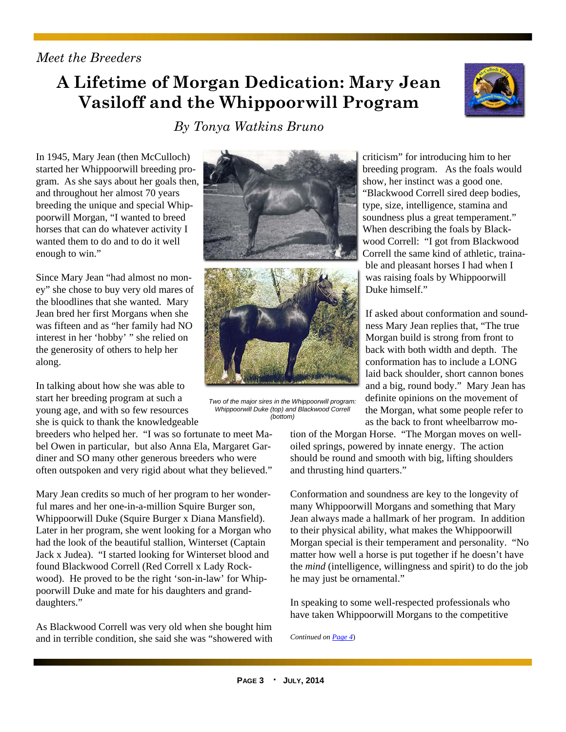#### *Meet the Breeders*

### **A Lifetime of Morgan Dedication: Mary Jean Vasiloff and the Whippoorwill Program**

*By Tonya Watkins Bruno* 



In 1945, Mary Jean (then McCulloch) started her Whippoorwill breeding program. As she says about her goals then, and throughout her almost 70 years breeding the unique and special Whippoorwill Morgan, "I wanted to breed horses that can do whatever activity I wanted them to do and to do it well enough to win."

Since Mary Jean "had almost no money" she chose to buy very old mares of the bloodlines that she wanted. Mary Jean bred her first Morgans when she was fifteen and as "her family had NO interest in her 'hobby' " she relied on the generosity of others to help her along.

In talking about how she was able to start her breeding program at such a young age, and with so few resources she is quick to thank the knowledgeable

breeders who helped her. "I was so fortunate to meet Mabel Owen in particular, but also Anna Ela, Margaret Gardiner and SO many other generous breeders who were often outspoken and very rigid about what they believed."

Mary Jean credits so much of her program to her wonderful mares and her one-in-a-million Squire Burger son, Whippoorwill Duke (Squire Burger x Diana Mansfield). Later in her program, she went looking for a Morgan who had the look of the beautiful stallion, Winterset (Captain Jack x Judea). "I started looking for Winterset blood and found Blackwood Correll (Red Correll x Lady Rockwood). He proved to be the right 'son-in-law' for Whippoorwill Duke and mate for his daughters and granddaughters."

As Blackwood Correll was very old when she bought him and in terrible condition, she said she was "showered with





*Two of the major sires in the Whippoorwill program: Whippoorwill Duke (top) and Blackwood Correll (bottom)* 

criticism" for introducing him to her breeding program. As the foals would show, her instinct was a good one. "Blackwood Correll sired deep bodies, type, size, intelligence, stamina and soundness plus a great temperament." When describing the foals by Blackwood Correll: "I got from Blackwood Correll the same kind of athletic, trainable and pleasant horses I had when I was raising foals by Whippoorwill Duke himself."

If asked about conformation and soundness Mary Jean replies that, "The true Morgan build is strong from front to back with both width and depth. The conformation has to include a LONG laid back shoulder, short cannon bones and a big, round body." Mary Jean has definite opinions on the movement of the Morgan, what some people refer to as the back to front wheelbarrow mo-

tion of the Morgan Horse. "The Morgan moves on welloiled springs, powered by innate energy. The action should be round and smooth with big, lifting shoulders and thrusting hind quarters."

Conformation and soundness are key to the longevity of many Whippoorwill Morgans and something that Mary Jean always made a hallmark of her program. In addition to their physical ability, what makes the Whippoorwill Morgan special is their temperament and personality. "No matter how well a horse is put together if he doesn't have the *mind* (intelligence, willingness and spirit) to do the job he may just be ornamental."

In speaking to some well-respected professionals who have taken Whippoorwill Morgans to the competitive

*Continued on Page 4*)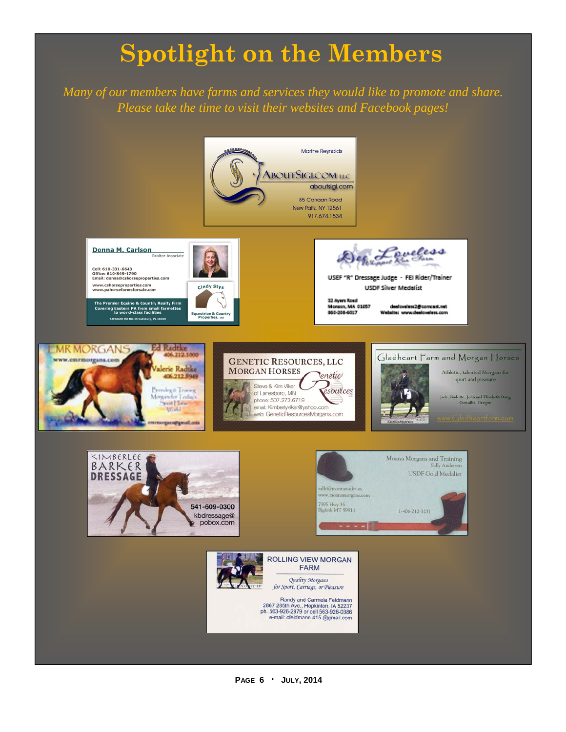# **Spotlight on the Members**

*Many of our members have farms and services they would like to promote and share. Please take the time to visit their websites and Facebook pages!* 



**PAGE 6 · JULY, 2014**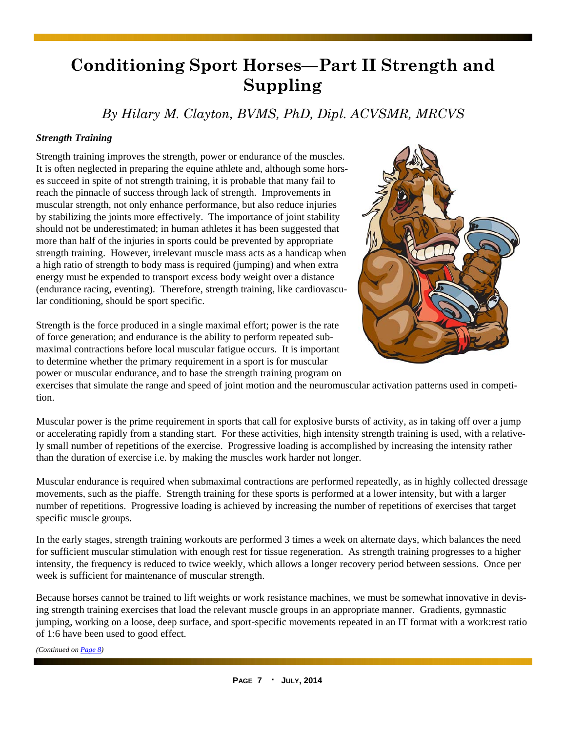### **Conditioning Sport Horses—Part II Strength and Suppling**

*By Hilary M. Clayton, BVMS, PhD, Dipl. ACVSMR, MRCVS* 

#### *Strength Training*

Strength training improves the strength, power or endurance of the muscles. It is often neglected in preparing the equine athlete and, although some horses succeed in spite of not strength training, it is probable that many fail to reach the pinnacle of success through lack of strength. Improvements in muscular strength, not only enhance performance, but also reduce injuries by stabilizing the joints more effectively. The importance of joint stability should not be underestimated; in human athletes it has been suggested that more than half of the injuries in sports could be prevented by appropriate strength training. However, irrelevant muscle mass acts as a handicap when a high ratio of strength to body mass is required (jumping) and when extra energy must be expended to transport excess body weight over a distance (endurance racing, eventing). Therefore, strength training, like cardiovascular conditioning, should be sport specific.

Strength is the force produced in a single maximal effort; power is the rate of force generation; and endurance is the ability to perform repeated submaximal contractions before local muscular fatigue occurs. It is important to determine whether the primary requirement in a sport is for muscular power or muscular endurance, and to base the strength training program on



exercises that simulate the range and speed of joint motion and the neuromuscular activation patterns used in competition.

Muscular power is the prime requirement in sports that call for explosive bursts of activity, as in taking off over a jump or accelerating rapidly from a standing start. For these activities, high intensity strength training is used, with a relatively small number of repetitions of the exercise. Progressive loading is accomplished by increasing the intensity rather than the duration of exercise i.e. by making the muscles work harder not longer.

Muscular endurance is required when submaximal contractions are performed repeatedly, as in highly collected dressage movements, such as the piaffe. Strength training for these sports is performed at a lower intensity, but with a larger number of repetitions. Progressive loading is achieved by increasing the number of repetitions of exercises that target specific muscle groups.

In the early stages, strength training workouts are performed 3 times a week on alternate days, which balances the need for sufficient muscular stimulation with enough rest for tissue regeneration. As strength training progresses to a higher intensity, the frequency is reduced to twice weekly, which allows a longer recovery period between sessions. Once per week is sufficient for maintenance of muscular strength.

Because horses cannot be trained to lift weights or work resistance machines, we must be somewhat innovative in devising strength training exercises that load the relevant muscle groups in an appropriate manner. Gradients, gymnastic jumping, working on a loose, deep surface, and sport-specific movements repeated in an IT format with a work:rest ratio of 1:6 have been used to good effect.

*(Continued on Page 8)*